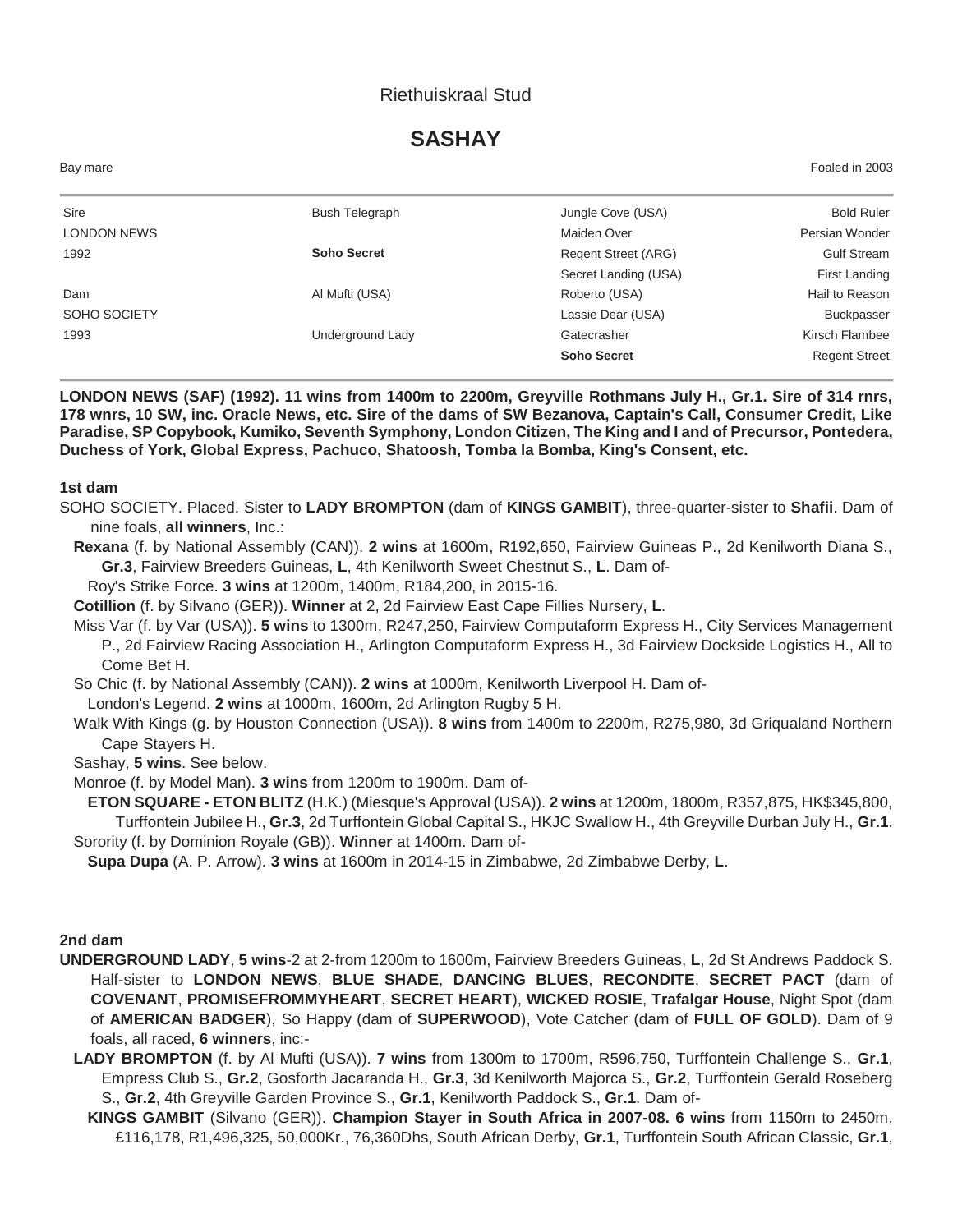## Riethuiskraal Stud

# **SASHAY**

| Bay mare           |                    |                      | Foaled in 2003       |
|--------------------|--------------------|----------------------|----------------------|
| Sire               | Bush Telegraph     | Jungle Cove (USA)    | <b>Bold Ruler</b>    |
| <b>LONDON NEWS</b> |                    | Maiden Over          | Persian Wonder       |
| 1992               | <b>Soho Secret</b> | Regent Street (ARG)  | <b>Gulf Stream</b>   |
|                    |                    | Secret Landing (USA) | First Landing        |
| Dam                | Al Mufti (USA)     | Roberto (USA)        | Hail to Reason       |
| SOHO SOCIETY       |                    | Lassie Dear (USA)    | <b>Buckpasser</b>    |
| 1993               | Underground Lady   | Gatecrasher          | Kirsch Flambee       |
|                    |                    | <b>Soho Secret</b>   | <b>Regent Street</b> |

**LONDON NEWS (SAF) (1992). 11 wins from 1400m to 2200m, Greyville Rothmans July H., Gr.1. Sire of 314 rnrs, 178 wnrs, 10 SW, inc. Oracle News, etc. Sire of the dams of SW Bezanova, Captain's Call, Consumer Credit, Like Paradise, SP Copybook, Kumiko, Seventh Symphony, London Citizen, The King and I and of Precursor, Pontedera, Duchess of York, Global Express, Pachuco, Shatoosh, Tomba la Bomba, King's Consent, etc.**

#### **1st dam**

- SOHO SOCIETY. Placed. Sister to **LADY BROMPTON** (dam of **KINGS GAMBIT**), three-quarter-sister to **Shafii**. Dam of nine foals, **all winners**, Inc.:
- **Rexana** (f. by National Assembly (CAN)). **2 wins** at 1600m, R192,650, Fairview Guineas P., 2d Kenilworth Diana S., **Gr.3**, Fairview Breeders Guineas, **L**, 4th Kenilworth Sweet Chestnut S., **L**. Dam of-

Roy's Strike Force. **3 wins** at 1200m, 1400m, R184,200, in 2015-16.

**Cotillion** (f. by Silvano (GER)). **Winner** at 2, 2d Fairview East Cape Fillies Nursery, **L**.

- Miss Var (f. by Var (USA)). **5 wins** to 1300m, R247,250, Fairview Computaform Express H., City Services Management P., 2d Fairview Racing Association H., Arlington Computaform Express H., 3d Fairview Dockside Logistics H., All to Come Bet H.
- So Chic (f. by National Assembly (CAN)). **2 wins** at 1000m, Kenilworth Liverpool H. Dam of-

London's Legend. **2 wins** at 1000m, 1600m, 2d Arlington Rugby 5 H.

Walk With Kings (g. by Houston Connection (USA)). **8 wins** from 1400m to 2200m, R275,980, 3d Griqualand Northern Cape Stayers H.

Sashay, **5 wins**. See below.

Monroe (f. by Model Man). **3 wins** from 1200m to 1900m. Dam of-

**ETON SQUARE - ETON BLITZ** (H.K.) (Miesque's Approval (USA)). **2 wins** at 1200m, 1800m, R357,875, HK\$345,800, Turffontein Jubilee H., **Gr.3**, 2d Turffontein Global Capital S., HKJC Swallow H., 4th Greyville Durban July H., **Gr.1**. Sorority (f. by Dominion Royale (GB)). **Winner** at 1400m. Dam of-

**Supa Dupa** (A. P. Arrow). **3 wins** at 1600m in 2014-15 in Zimbabwe, 2d Zimbabwe Derby, **L**.

#### **2nd dam**

- **UNDERGROUND LADY**, **5 wins**-2 at 2-from 1200m to 1600m, Fairview Breeders Guineas, **L**, 2d St Andrews Paddock S. Half-sister to **LONDON NEWS**, **BLUE SHADE**, **DANCING BLUES**, **RECONDITE**, **SECRET PACT** (dam of **COVENANT**, **PROMISEFROMMYHEART**, **SECRET HEART**), **WICKED ROSIE**, **Trafalgar House**, Night Spot (dam of **AMERICAN BADGER**), So Happy (dam of **SUPERWOOD**), Vote Catcher (dam of **FULL OF GOLD**). Dam of 9 foals, all raced, **6 winners**, inc:-
	- **LADY BROMPTON** (f. by Al Mufti (USA)). **7 wins** from 1300m to 1700m, R596,750, Turffontein Challenge S., **Gr.1**, Empress Club S., **Gr.2**, Gosforth Jacaranda H., **Gr.3**, 3d Kenilworth Majorca S., **Gr.2**, Turffontein Gerald Roseberg S., **Gr.2**, 4th Greyville Garden Province S., **Gr.1**, Kenilworth Paddock S., **Gr.1**. Dam of-
		- **KINGS GAMBIT** (Silvano (GER)). **Champion Stayer in South Africa in 2007-08. 6 wins** from 1150m to 2450m, £116,178, R1,496,325, 50,000Kr., 76,360Dhs, South African Derby, **Gr.1**, Turffontein South African Classic, **Gr.1**,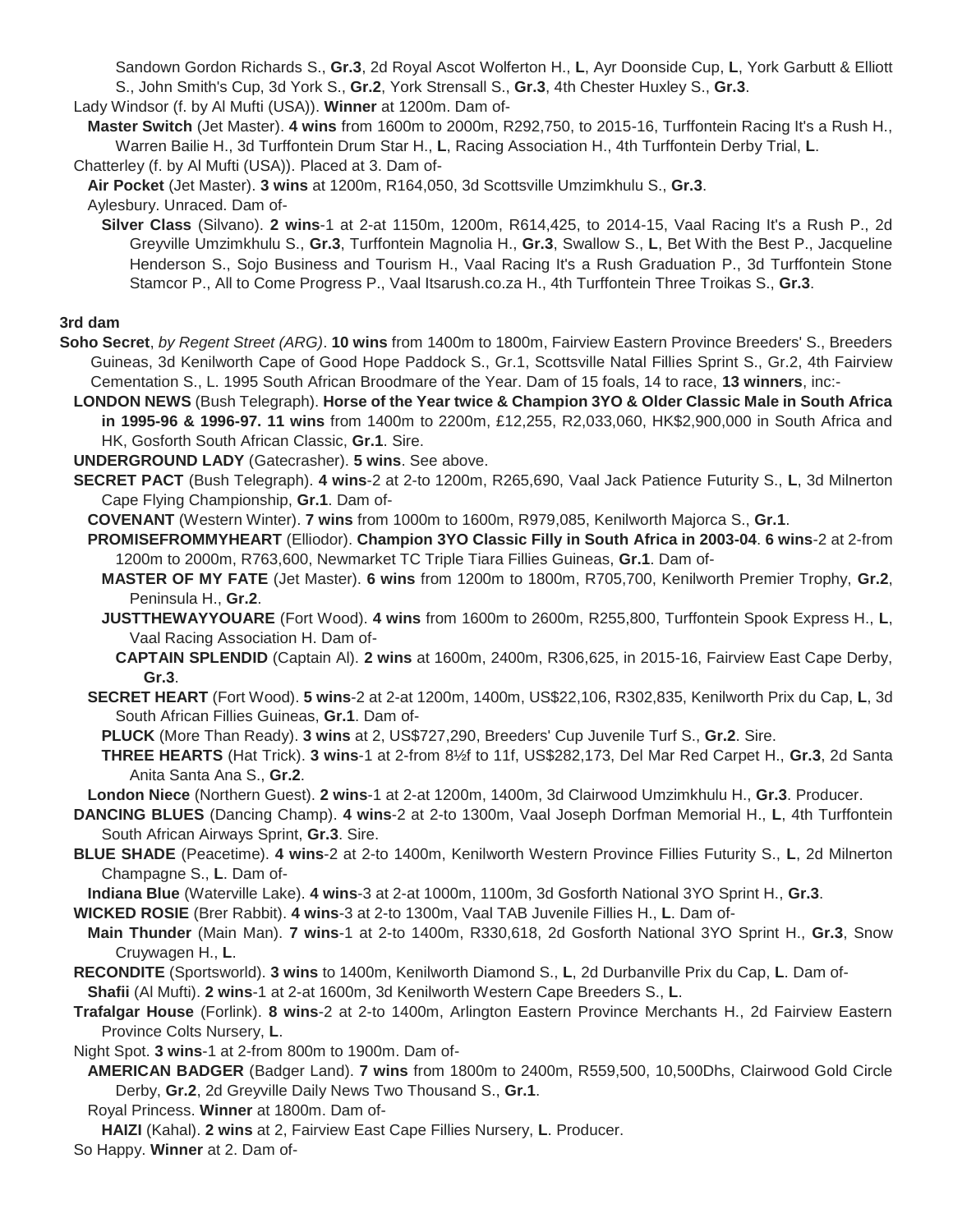Sandown Gordon Richards S., **Gr.3**, 2d Royal Ascot Wolferton H., **L**, Ayr Doonside Cup, **L**, York Garbutt & Elliott S., John Smith's Cup, 3d York S., **Gr.2**, York Strensall S., **Gr.3**, 4th Chester Huxley S., **Gr.3**.

Lady Windsor (f. by Al Mufti (USA)). **Winner** at 1200m. Dam of-

**Master Switch** (Jet Master). **4 wins** from 1600m to 2000m, R292,750, to 2015-16, Turffontein Racing It's a Rush H., Warren Bailie H., 3d Turffontein Drum Star H., **L**, Racing Association H., 4th Turffontein Derby Trial, **L**.

Chatterley (f. by Al Mufti (USA)). Placed at 3. Dam of-

**Air Pocket** (Jet Master). **3 wins** at 1200m, R164,050, 3d Scottsville Umzimkhulu S., **Gr.3**.

Aylesbury. Unraced. Dam of-

**Silver Class** (Silvano). **2 wins**-1 at 2-at 1150m, 1200m, R614,425, to 2014-15, Vaal Racing It's a Rush P., 2d Greyville Umzimkhulu S., **Gr.3**, Turffontein Magnolia H., **Gr.3**, Swallow S., **L**, Bet With the Best P., Jacqueline Henderson S., Sojo Business and Tourism H., Vaal Racing It's a Rush Graduation P., 3d Turffontein Stone Stamcor P., All to Come Progress P., Vaal Itsarush.co.za H., 4th Turffontein Three Troikas S., **Gr.3**.

**3rd dam**

- **Soho Secret**, *by Regent Street (ARG)*. **10 wins** from 1400m to 1800m, Fairview Eastern Province Breeders' S., Breeders Guineas, 3d Kenilworth Cape of Good Hope Paddock S., Gr.1, Scottsville Natal Fillies Sprint S., Gr.2, 4th Fairview Cementation S., L. 1995 South African Broodmare of the Year. Dam of 15 foals, 14 to race, **13 winners**, inc:-
	- **LONDON NEWS** (Bush Telegraph). **Horse of the Year twice & Champion 3YO & Older Classic Male in South Africa in 1995-96 & 1996-97. 11 wins** from 1400m to 2200m, £12,255, R2,033,060, HK\$2,900,000 in South Africa and HK, Gosforth South African Classic, **Gr.1**. Sire.

**UNDERGROUND LADY** (Gatecrasher). **5 wins**. See above.

**SECRET PACT** (Bush Telegraph). **4 wins**-2 at 2-to 1200m, R265,690, Vaal Jack Patience Futurity S., **L**, 3d Milnerton Cape Flying Championship, **Gr.1**. Dam of-

**COVENANT** (Western Winter). **7 wins** from 1000m to 1600m, R979,085, Kenilworth Majorca S., **Gr.1**.

**PROMISEFROMMYHEART** (Elliodor). **Champion 3YO Classic Filly in South Africa in 2003-04**. **6 wins**-2 at 2-from 1200m to 2000m, R763,600, Newmarket TC Triple Tiara Fillies Guineas, **Gr.1**. Dam of-

- **MASTER OF MY FATE** (Jet Master). **6 wins** from 1200m to 1800m, R705,700, Kenilworth Premier Trophy, **Gr.2**, Peninsula H., **Gr.2**.
- **JUSTTHEWAYYOUARE** (Fort Wood). **4 wins** from 1600m to 2600m, R255,800, Turffontein Spook Express H., **L**, Vaal Racing Association H. Dam of-
	- **CAPTAIN SPLENDID** (Captain Al). **2 wins** at 1600m, 2400m, R306,625, in 2015-16, Fairview East Cape Derby, **Gr.3**.
- **SECRET HEART** (Fort Wood). **5 wins**-2 at 2-at 1200m, 1400m, US\$22,106, R302,835, Kenilworth Prix du Cap, **L**, 3d South African Fillies Guineas, **Gr.1**. Dam of-

**PLUCK** (More Than Ready). **3 wins** at 2, US\$727,290, Breeders' Cup Juvenile Turf S., **Gr.2**. Sire.

**THREE HEARTS** (Hat Trick). **3 wins**-1 at 2-from 8½f to 11f, US\$282,173, Del Mar Red Carpet H., **Gr.3**, 2d Santa Anita Santa Ana S., **Gr.2**.

**London Niece** (Northern Guest). **2 wins**-1 at 2-at 1200m, 1400m, 3d Clairwood Umzimkhulu H., **Gr.3**. Producer.

- **DANCING BLUES** (Dancing Champ). **4 wins**-2 at 2-to 1300m, Vaal Joseph Dorfman Memorial H., **L**, 4th Turffontein South African Airways Sprint, **Gr.3**. Sire.
- **BLUE SHADE** (Peacetime). **4 wins**-2 at 2-to 1400m, Kenilworth Western Province Fillies Futurity S., **L**, 2d Milnerton Champagne S., **L**. Dam of-

**Indiana Blue** (Waterville Lake). **4 wins**-3 at 2-at 1000m, 1100m, 3d Gosforth National 3YO Sprint H., **Gr.3**.

**WICKED ROSIE** (Brer Rabbit). **4 wins**-3 at 2-to 1300m, Vaal TAB Juvenile Fillies H., **L**. Dam of-

- **Main Thunder** (Main Man). **7 wins**-1 at 2-to 1400m, R330,618, 2d Gosforth National 3YO Sprint H., **Gr.3**, Snow Cruywagen H., **L**.
- **RECONDITE** (Sportsworld). **3 wins** to 1400m, Kenilworth Diamond S., **L**, 2d Durbanville Prix du Cap, **L**. Dam of-

**Shafii** (Al Mufti). **2 wins**-1 at 2-at 1600m, 3d Kenilworth Western Cape Breeders S., **L**.

**Trafalgar House** (Forlink). **8 wins**-2 at 2-to 1400m, Arlington Eastern Province Merchants H., 2d Fairview Eastern Province Colts Nursery, **L**.

Night Spot. **3 wins**-1 at 2-from 800m to 1900m. Dam of-

- **AMERICAN BADGER** (Badger Land). **7 wins** from 1800m to 2400m, R559,500, 10,500Dhs, Clairwood Gold Circle Derby, **Gr.2**, 2d Greyville Daily News Two Thousand S., **Gr.1**.
- Royal Princess. **Winner** at 1800m. Dam of-

**HAIZI** (Kahal). **2 wins** at 2, Fairview East Cape Fillies Nursery, **L**. Producer.

So Happy. **Winner** at 2. Dam of-